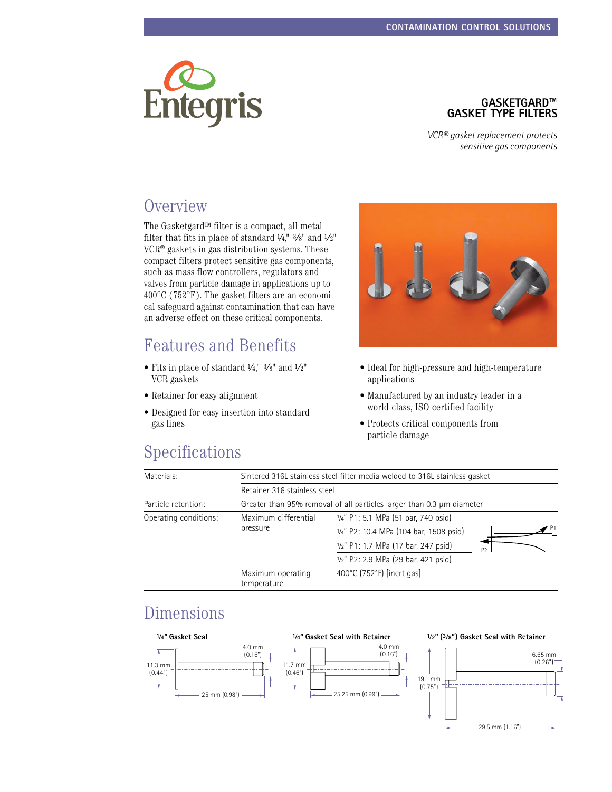

# **Gasketgard™ Gasket Type Filters**

*VCR® gasket replacement protects sensitive gas components*

### **Overview**

The Gasketgard<sup>TM</sup> filter is a compact, all-metal filter that fits in place of standard  $\frac{1}{4}$ ,"  $\frac{3}{8}$ " and  $\frac{1}{2}$ " VCR® gaskets in gas distribution systems. These compact filters protect sensitive gas components, such as mass flow controllers, regulators and valves from particle damage in applications up to 400°C (752°F). The gasket filters are an economical safeguard against contamination that can have an adverse effect on these critical components.

### Features and Benefits

- Fits in place of standard  $\frac{1}{4}$ ,"  $\frac{3}{8}$ " and  $\frac{1}{2}$ " VCR gaskets
- • Retainer for easy alignment
- • Designed for easy insertion into standard gas lines



- Ideal for high-pressure and high-temperature applications
- • Manufactured by an industry leader in a world-class, ISO-certified facility
- • Protects critical components from particle damage

### Specifications

| Materials:            | Sintered 316L stainless steel filter media welded to 316L stainless gasket |                                        |                |
|-----------------------|----------------------------------------------------------------------------|----------------------------------------|----------------|
|                       | Retainer 316 stainless steel                                               |                                        |                |
| Particle retention:   | Greater than 95% removal of all particles larger than 0.3 µm diameter      |                                        |                |
| Operating conditions: | Maximum differential<br>pressure                                           | 1/4" P1: 5.1 MPa (51 bar, 740 psid)    |                |
|                       |                                                                            | 1/4" P2: 10.4 MPa (104 bar, 1508 psid) |                |
|                       |                                                                            | 1/2" P1: 1.7 MPa (17 bar, 247 psid)    | P <sub>2</sub> |
|                       |                                                                            | 1/2" P2: 2.9 MPa (29 bar, 421 psid)    |                |
|                       | Maximum operating<br>temperature                                           | 400°C (752°F) [inert gas]              |                |

### Dimensions